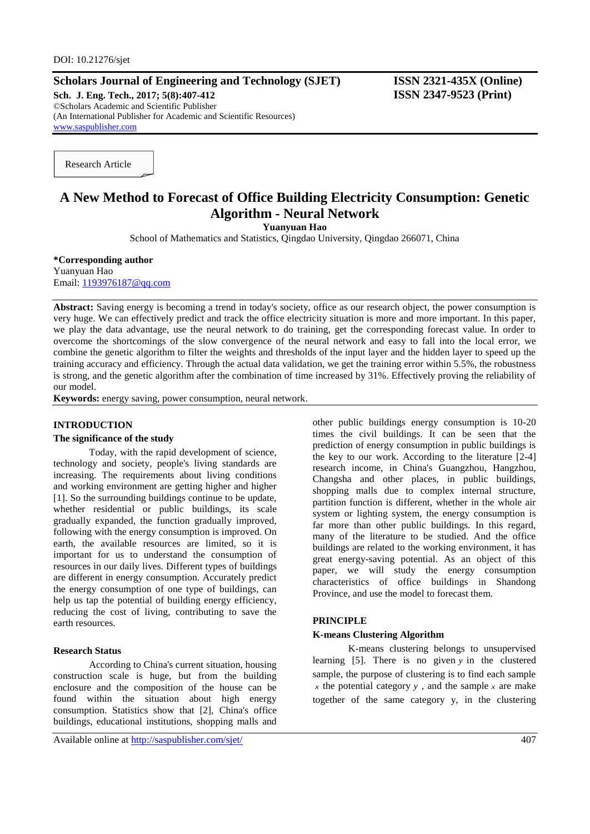# **Scholars Journal of Engineering and Technology (SJET) ISSN 2321-435X (Online)**

**Sch. J. Eng. Tech., 2017; 5(8):407-412 ISSN 2347-9523 (Print)** ©Scholars Academic and Scientific Publisher (An International Publisher for Academic and Scientific Resources) [www.saspublisher.com](http://www.saspublisher.com/)

Research Article

# **A New Method to Forecast of Office Building Electricity Consumption: Genetic Algorithm - Neural Network**

**Yuanyuan Hao**

School of Mathematics and Statistics, Qingdao University, Qingdao 266071, China

**\*Corresponding author** Yuanyuan Hao Email: [1193976187@qq.com](mailto:1193976187@qq.com)

**Abstract:** Saving energy is becoming a trend in today's society, office as our research object, the power consumption is very huge. We can effectively predict and track the office electricity situation is more and more important. In this paper, we play the data advantage, use the neural network to do training, get the corresponding forecast value. In order to overcome the shortcomings of the slow convergence of the neural network and easy to fall into the local error, we combine the genetic algorithm to filter the weights and thresholds of the input layer and the hidden layer to speed up the training accuracy and efficiency. Through the actual data validation, we get the training error within 5.5%, the robustness is strong, and the genetic algorithm after the combination of time increased by 31%. Effectively proving the reliability of our model.

**Keywords:** energy saving, power consumption, neural network.

### **INTRODUCTION**

# **The significance of the study**

Today, with the rapid development of science, technology and society, people's living standards are increasing. The requirements about living conditions and working environment are getting higher and higher [1]. So the surrounding buildings continue to be update, whether residential or public buildings, its scale gradually expanded, the function gradually improved, following with the energy consumption is improved. On earth, the available resources are limited, so it is important for us to understand the consumption of resources in our daily lives. Different types of buildings are different in energy consumption. Accurately predict the energy consumption of one type of buildings, can help us tap the potential of building energy efficiency, reducing the cost of living, contributing to save the earth resources.

### **Research Status**

According to China's current situation, housing construction scale is huge, but from the building enclosure and the composition of the house can be found within the situation about high energy consumption. Statistics show that [2], China's office buildings, educational institutions, shopping malls and

Available online at<http://saspublisher.com/sjet/> 407

other public buildings energy consumption is 10-20 times the civil buildings. It can be seen that the prediction of energy consumption in public buildings is the key to our work. According to the literature [2-4] research income, in China's Guangzhou, Hangzhou, Changsha and other places, in public buildings, shopping malls due to complex internal structure, partition function is different, whether in the whole air system or lighting system, the energy consumption is far more than other public buildings. In this regard, many of the literature to be studied. And the office buildings are related to the working environment, it has great energy-saving potential. As an object of this paper, we will study the energy consumption characteristics of office buildings in Shandong Province, and use the model to forecast them.

### **PRINCIPLE**

# **K-means Clustering Algorithm**

K-means clustering belongs to unsupervised learning [5]. There is no given *y* in the clustered sample, the purpose of clustering is to find each sample  $x$  the potential category  $y$ , and the sample  $x$  are make together of the same category y, in the clustering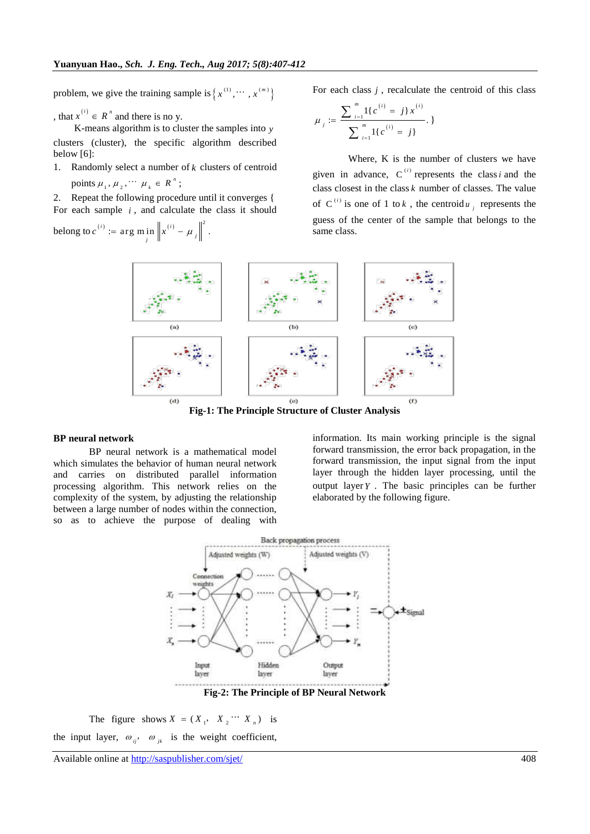problem, we give the training sample is  $\{x^{(1)}, \dots, x^{(m)}\}$ 

, that  $x^{(i)} \in R^n$  and there is no y.

K-means algorithm is to cluster the samples into *y* clusters (cluster), the specific algorithm described below [6]:

1. Randomly select a number of  $k$  clusters of centroid points  $\mu_1, \mu_2, \cdots, \mu_k \in R^n$  $\mu_{1}, \mu_{2}, \cdots \mu_{k} \in R^{n}$ ;

2. Repeat the following procedure until it converges { For each sample *i* , and calculate the class it should

belong to 
$$
c^{(i)} := \arg \min_j \left\| x^{(i)} - \mu_j \right\|^2
$$
.

For each class  $j$ , recalculate the centroid of this class

$$
\mu_j := \frac{\sum_{i=1}^m 1\{c^{(i)} = j\}x^{(i)}}{\sum_{i=1}^m 1\{c^{(i)} = j\}},
$$

Where, K is the number of clusters we have given in advance,  $C^{(i)}$  represents the class *i* and the class closest in the class  $k$  number of classes. The value of C<sup>(*i*)</sup> is one of 1 to *k*, the centroid  $u_j$  represents the guess of the center of the sample that belongs to the same class.



**Fig-1: The Principle Structure of Cluster Analysis**

#### **BP neural network**

BP neural network is a mathematical model which simulates the behavior of human neural network and carries on distributed parallel information processing algorithm. This network relies on the complexity of the system, by adjusting the relationship between a large number of nodes within the connection, so as to achieve the purpose of dealing with information. Its main working principle is the signal forward transmission, the error back propagation, in the forward transmission, the input signal from the input layer through the hidden layer processing, until the output layer *Y* . The basic principles can be further elaborated by the following figure.



**Fig-2: The Principle of BP Neural Network**

The figure shows  $X = (X_1, X_2 \cdots X_n)$  is the input layer,  $\omega_{ij}$ ,  $\omega_{jk}$  is the weight coefficient,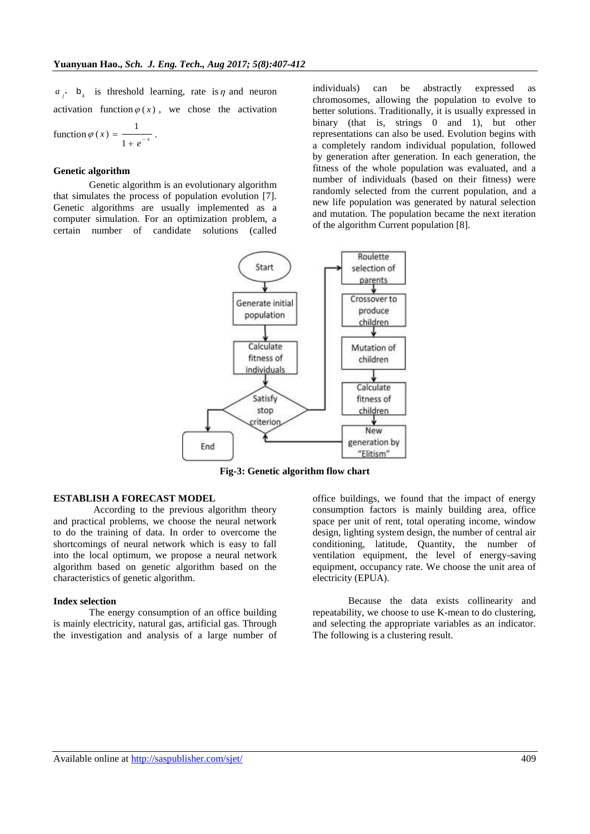$a_j$ , **b**<sub>k</sub> is threshold learning, rate is  $\eta$  and neuron activation function  $\varphi(x)$ , we chose the activation function  $\varphi(x) = \frac{1}{x}$  $f(x) = \frac{1}{1 + e^{-x}}$  $\varphi(x) = \frac{1}{1+e^{-x}}$  $\ddot{}$ .

# **Genetic algorithm**

Genetic algorithm is an evolutionary algorithm that simulates the process of population evolution [7]. Genetic algorithms are usually implemented as a computer simulation. For an optimization problem, a certain number of candidate solutions (called

individuals) can be abstractly expressed as chromosomes, allowing the population to evolve to better solutions. Traditionally, it is usually expressed in binary (that is, strings 0 and 1), but other representations can also be used. Evolution begins with a completely random individual population, followed by generation after generation. In each generation, the fitness of the whole population was evaluated, and a number of individuals (based on their fitness) were randomly selected from the current population, and a new life population was generated by natural selection and mutation. The population became the next iteration of the algorithm Current population [8].



**Fig-3: Genetic algorithm flow chart**

# **ESTABLISH A FORECAST MODEL**

According to the previous algorithm theory and practical problems, we choose the neural network to do the training of data. In order to overcome the shortcomings of neural network which is easy to fall into the local optimum, we propose a neural network algorithm based on genetic algorithm based on the characteristics of genetic algorithm.

# **Index selection**

The energy consumption of an office building is mainly electricity, natural gas, artificial gas. Through the investigation and analysis of a large number of office buildings, we found that the impact of energy consumption factors is mainly building area, office space per unit of rent, total operating income, window design, lighting system design, the number of central air conditioning, latitude, Quantity, the number of ventilation equipment, the level of energy-saving equipment, occupancy rate. We choose the unit area of electricity (EPUA).

Because the data exists collinearity and repeatability, we choose to use K-mean to do clustering, and selecting the appropriate variables as an indicator. The following is a clustering result.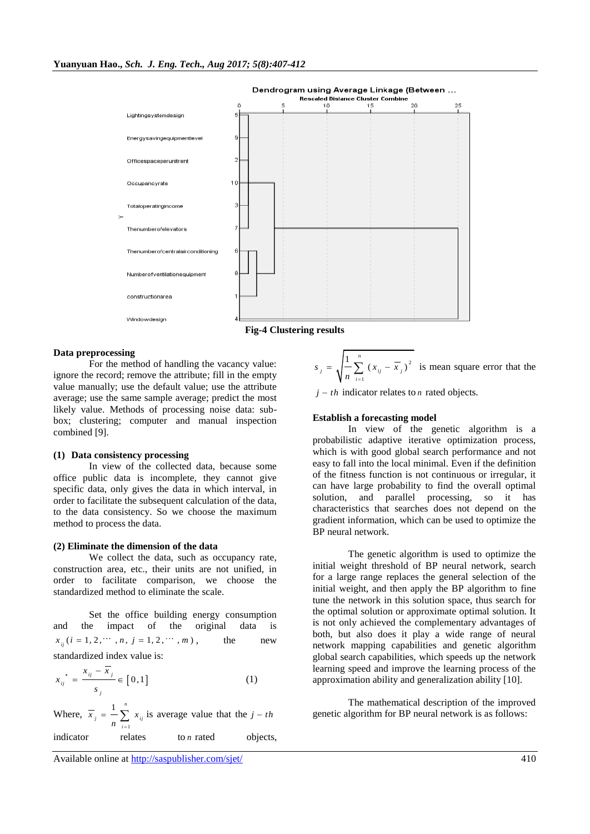

### **Data preprocessing**

For the method of handling the vacancy value: ignore the record; remove the attribute; fill in the empty value manually; use the default value; use the attribute average; use the same sample average; predict the most likely value. Methods of processing noise data: subbox; clustering; computer and manual inspection combined [9].

#### **(1) Data consistency processing**

In view of the collected data, because some office public data is incomplete, they cannot give specific data, only gives the data in which interval, in order to facilitate the subsequent calculation of the data, to the data consistency. So we choose the maximum method to process the data.

#### **(2) Eliminate the dimension of the data**

We collect the data, such as occupancy rate, construction area, etc., their units are not unified, in order to facilitate comparison, we choose the standardized method to eliminate the scale.

Set the office building energy consumption and the impact of the original data is  $x_{ii}$  ( $i = 1, 2, \cdots, n, j = 1, 2, \cdots, m$ ), the new standardized index value is:

$$
x_{ij}^* = \frac{x_{ij} - \overline{x}_j}{s_j} \in [0, 1]
$$
 (1)

Where, 1  $\frac{n}{2}$ *j ij i*  $\overline{x}_{i} = -\sum x_{i}$  $=\frac{1}{n}\sum_{i=1}^{n} x_{ij}$  is average value that the  $j-th$ indicator relates to *n* rated objects,

$$
s_j = \sqrt{\frac{1}{n} \sum_{i=1}^{n} (x_{ij} - \overline{x}_j)^2}
$$
 is mean square error that the

 $j - th$  indicator relates to *n* rated objects.

### **Establish a forecasting model**

In view of the genetic algorithm is a probabilistic adaptive iterative optimization process, which is with good global search performance and not easy to fall into the local minimal. Even if the definition of the fitness function is not continuous or irregular, it can have large probability to find the overall optimal solution, and parallel processing, so it has characteristics that searches does not depend on the gradient information, which can be used to optimize the BP neural network.

The genetic algorithm is used to optimize the initial weight threshold of BP neural network, search for a large range replaces the general selection of the initial weight, and then apply the BP algorithm to fine tune the network in this solution space, thus search for the optimal solution or approximate optimal solution. It is not only achieved the complementary advantages of both, but also does it play a wide range of neural network mapping capabilities and genetic algorithm global search capabilities, which speeds up the network learning speed and improve the learning process of the approximation ability and generalization ability [10].

The mathematical description of the improved genetic algorithm for BP neural network is as follows: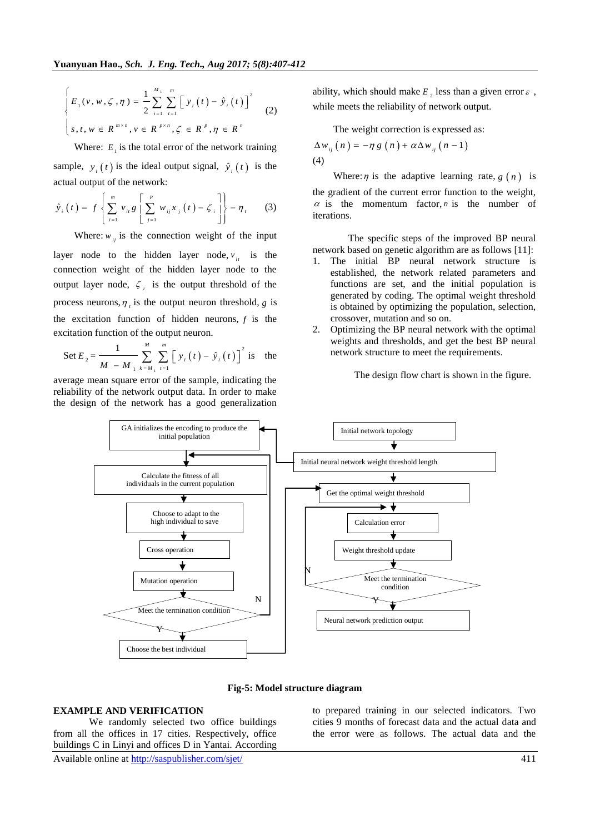$$
\begin{cases}\nE_{1}(v, w, \zeta, \eta) = \frac{1}{2} \sum_{i=1}^{M_{1}} \sum_{t=1}^{m} \left[ y_{i}(t) - \hat{y}_{i}(t) \right]^{2} \\
s, t, w \in R^{m \times n}, v \in R^{p \times n}, \zeta \in R^{p}, \eta \in R^{n}\n\end{cases}
$$
\n(2)

Where:  $E_1$  is the total error of the network training sample,  $y_i(t)$  is the ideal output signal,  $\hat{y}_i(t)$  is the

actual output of the network:  
\n
$$
\hat{y}_i(t) = f\left\{\sum_{i=1}^m v_{ii} g \left[\sum_{j=1}^p w_{ij} x_j(t) - \zeta_i\right]\right\} - \eta_i
$$
\n(3)

Where:  $w_{ij}$  is the connection weight of the input

layer node to the hidden layer node,  $v_{it}$  is the connection weight of the hidden layer node to the output layer node,  $\zeta$  is the output threshold of the process neurons,  $\eta_i$  is the output neuron threshold, g is the excitation function of hidden neurons,  $f$  is the excitation function of the output neuron.

Set 
$$
E_2 = \frac{1}{M - M_1} \sum_{k=M_1}^{M} \sum_{t=1}^{m} [y_i(t) - \hat{y}_i(t)]^2
$$
 is the

average mean square error of the sample, indicating the reliability of the network output data. In order to make the design of the network has a good generalization ability, which should make  $E_2$  less than a given error  $\varepsilon$ , while meets the reliability of network output.

The weight correction is expressed as:  
\n
$$
\Delta w_{ij}(n) = -\eta g(n) + \alpha \Delta w_{ij}(n-1)
$$
\n(4)

Where:  $\eta$  is the adaptive learning rate,  $g(n)$  is the gradient of the current error function to the weight,  $\alpha$  is the momentum factor, *n* is the number of iterations.

The specific steps of the improved BP neural network based on genetic algorithm are as follows [11]:

- 1. The initial BP neural network structure is established, the network related parameters and functions are set, and the initial population is generated by coding. The optimal weight threshold is obtained by optimizing the population, selection, crossover, mutation and so on.
- 2. Optimizing the BP neural network with the optimal weights and thresholds, and get the best BP neural network structure to meet the requirements.

The design flow chart is shown in the figure.





#### **EXAMPLE AND VERIFICATION**

We randomly selected two office buildings from all the offices in 17 cities. Respectively, office buildings C in Linyi and offices D in Yantai. According to prepared training in our selected indicators. Two cities 9 months of forecast data and the actual data and the error were as follows. The actual data and the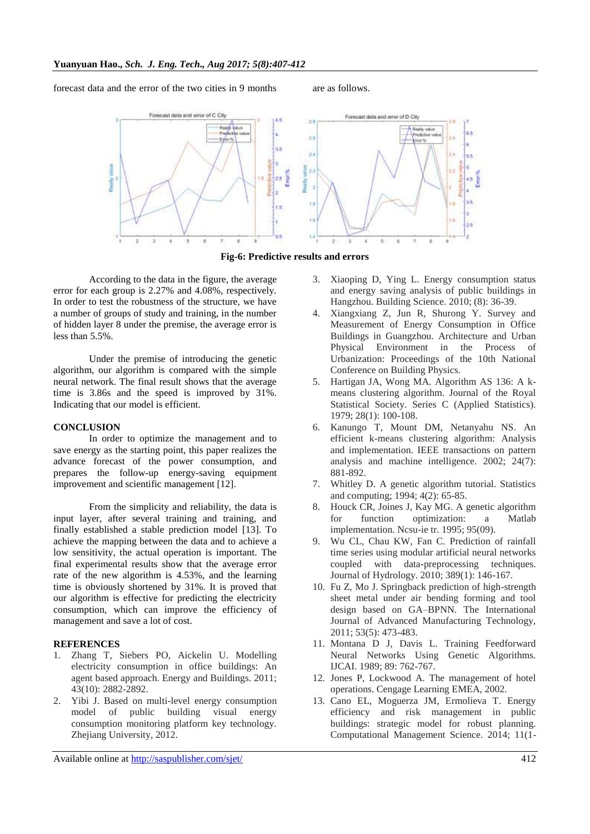forecast data and the error of the two cities in 9 months are as follows.



**Fig-6: Predictive results and errors**

According to the data in the figure, the average error for each group is 2.27% and 4.08%, respectively. In order to test the robustness of the structure, we have a number of groups of study and training, in the number of hidden layer 8 under the premise, the average error is less than 5.5%.

Under the premise of introducing the genetic algorithm, our algorithm is compared with the simple neural network. The final result shows that the average time is 3.86s and the speed is improved by 31%. Indicating that our model is efficient.

# **CONCLUSION**

In order to optimize the management and to save energy as the starting point, this paper realizes the advance forecast of the power consumption, and prepares the follow-up energy-saving equipment improvement and scientific management [12].

From the simplicity and reliability, the data is input layer, after several training and training, and finally established a stable prediction model [13]. To achieve the mapping between the data and to achieve a low sensitivity, the actual operation is important. The final experimental results show that the average error rate of the new algorithm is 4.53%, and the learning time is obviously shortened by 31%. It is proved that our algorithm is effective for predicting the electricity consumption, which can improve the efficiency of management and save a lot of cost.

# **REFERENCES**

- 1. Zhang T, Siebers PO, Aickelin U. Modelling electricity consumption in office buildings: An agent based approach. Energy and Buildings. 2011; 43(10): 2882-2892.
- 2. Yibi J. Based on multi-level energy consumption model of public building visual energy consumption monitoring platform key technology. Zhejiang University, 2012.

time series using modular artificial neural networks coupled with data-preprocessing techniques. Journal of Hydrology. 2010; 389(1): 146-167.

881-892.

10. Fu Z, Mo J. Springback prediction of high-strength sheet metal under air bending forming and tool design based on GA–BPNN. The International Journal of Advanced Manufacturing Technology, 2011; 53(5): 473-483.

3. Xiaoping D, Ying L. Energy consumption status and energy saving analysis of public buildings in Hangzhou. Building Science. 2010; (8): 36-39. 4. Xiangxiang Z, Jun R, Shurong Y. Survey and Measurement of Energy Consumption in Office Buildings in Guangzhou. Architecture and Urban Physical Environment in the Process of Urbanization: Proceedings of the 10th National

5. Hartigan JA, Wong MA. Algorithm AS 136: A kmeans clustering algorithm. Journal of the Royal Statistical Society. Series C (Applied Statistics).

6. Kanungo T, Mount DM, Netanyahu NS. An efficient k-means clustering algorithm: Analysis and implementation. IEEE transactions on pattern analysis and machine intelligence. 2002; 24(7):

7. Whitley D. A genetic algorithm tutorial. Statistics

8. Houck CR, Joines J, Kay MG. A genetic algorithm for function optimization: a Matlab

implementation. Ncsu-ie tr. 1995; 95(09). 9. Wu CL, Chau KW, Fan C. Prediction of rainfall

and computing; 1994; 4(2): 65-85.

Conference on Building Physics.

1979; 28(1): 100-108.

- 11. Montana D J, Davis L. Training Feedforward Neural Networks Using Genetic Algorithms. IJCAI. 1989; 89: 762-767.
- 12. Jones P, Lockwood A. The management of hotel operations. Cengage Learning EMEA, 2002.
- 13. Cano EL, Moguerza JM, Ermolieva T. Energy efficiency and risk management in public buildings: strategic model for robust planning. Computational Management Science. 2014; 11(1-